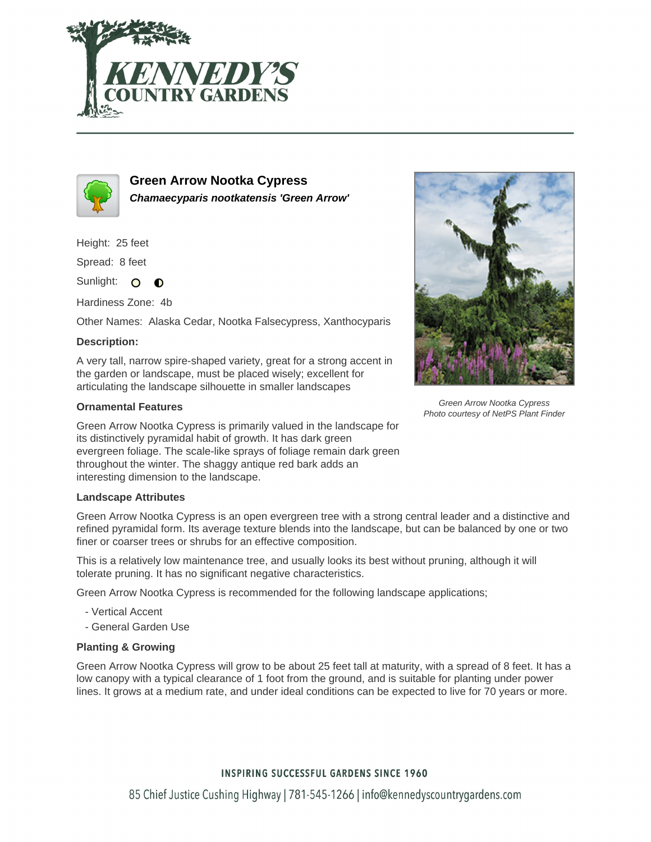



**Green Arrow Nootka Cypress Chamaecyparis nootkatensis 'Green Arrow'**

Height: 25 feet

Spread: 8 feet

Sunlight: O  $\bullet$ 

Hardiness Zone: 4b

Other Names: Alaska Cedar, Nootka Falsecypress, Xanthocyparis

# **Description:**

A very tall, narrow spire-shaped variety, great for a strong accent in the garden or landscape, must be placed wisely; excellent for articulating the landscape silhouette in smaller landscapes

# **Ornamental Features**

Green Arrow Nootka Cypress is primarily valued in the landscape for its distinctively pyramidal habit of growth. It has dark green evergreen foliage. The scale-like sprays of foliage remain dark green throughout the winter. The shaggy antique red bark adds an interesting dimension to the landscape.

### **Landscape Attributes**

Green Arrow Nootka Cypress is an open evergreen tree with a strong central leader and a distinctive and refined pyramidal form. Its average texture blends into the landscape, but can be balanced by one or two finer or coarser trees or shrubs for an effective composition.

This is a relatively low maintenance tree, and usually looks its best without pruning, although it will tolerate pruning. It has no significant negative characteristics.

Green Arrow Nootka Cypress is recommended for the following landscape applications;

- Vertical Accent
- General Garden Use

### **Planting & Growing**

Green Arrow Nootka Cypress will grow to be about 25 feet tall at maturity, with a spread of 8 feet. It has a low canopy with a typical clearance of 1 foot from the ground, and is suitable for planting under power lines. It grows at a medium rate, and under ideal conditions can be expected to live for 70 years or more.



Green Arrow Nootka Cypress Photo courtesy of NetPS Plant Finder

# **INSPIRING SUCCESSFUL GARDENS SINCE 1960**